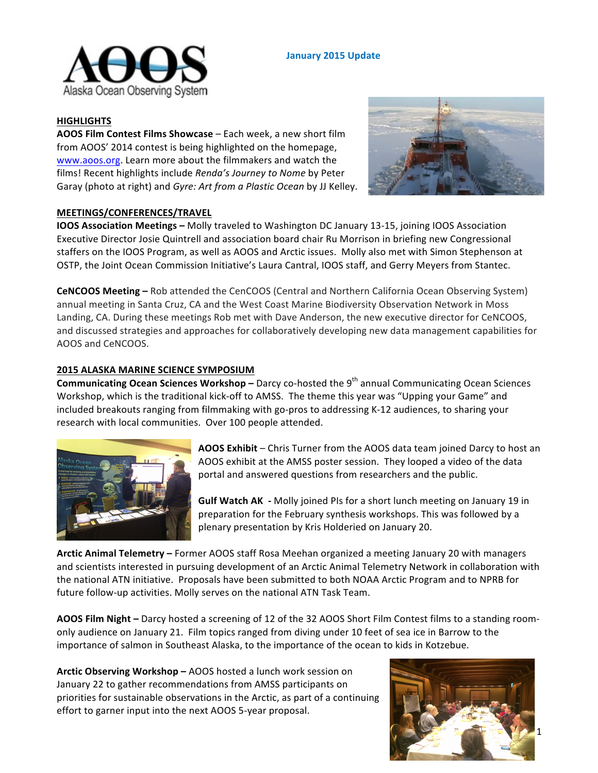

# **January 2015 Update**

### **HIGHLIGHTS**

**AOOS Film Contest Films Showcase** – Each week, a new short film from AOOS' 2014 contest is being highlighted on the homepage, www.aoos.org. Learn more about the filmmakers and watch the films! Recent highlights include *Renda's Journey to Nome* by Peter Garay (photo at right) and *Gyre: Art from a Plastic Ocean* by JJ Kelley.



### **MEETINGS/CONFERENCES/TRAVEL**

**IOOS Association Meetings** – Molly traveled to Washington DC January 13-15, joining IOOS Association Executive Director Josie Quintrell and association board chair Ru Morrison in briefing new Congressional staffers on the IOOS Program, as well as AOOS and Arctic issues. Molly also met with Simon Stephenson at OSTP, the Joint Ocean Commission Initiative's Laura Cantral, IOOS staff, and Gerry Meyers from Stantec.

**CeNCOOS Meeting** – Rob attended the CenCOOS (Central and Northern California Ocean Observing System) annual meeting in Santa Cruz, CA and the West Coast Marine Biodiversity Observation Network in Moss Landing, CA. During these meetings Rob met with Dave Anderson, the new executive director for CeNCOOS, and discussed strategies and approaches for collaboratively developing new data management capabilities for AOOS and CeNCOOS.

#### **2015 ALASKA MARINE SCIENCE SYMPOSIUM**

**Communicating Ocean Sciences Workshop** – Darcy co-hosted the 9<sup>th</sup> annual Communicating Ocean Sciences Workshop, which is the traditional kick-off to AMSS. The theme this year was "Upping your Game" and included breakouts ranging from filmmaking with go-pros to addressing K-12 audiences, to sharing your research with local communities. Over 100 people attended.



**AOOS Exhibit** – Chris Turner from the AOOS data team joined Darcy to host an AOOS exhibit at the AMSS poster session. They looped a video of the data portal and answered questions from researchers and the public.

**Gulf Watch AK** - Molly joined PIs for a short lunch meeting on January 19 in preparation for the February synthesis workshops. This was followed by a plenary presentation by Kris Holderied on January 20.

**Arctic Animal Telemetry –** Former AOOS staff Rosa Meehan organized a meeting January 20 with managers and scientists interested in pursuing development of an Arctic Animal Telemetry Network in collaboration with the national ATN initiative. Proposals have been submitted to both NOAA Arctic Program and to NPRB for future follow-up activities. Molly serves on the national ATN Task Team.

**AOOS Film Night** – Darcy hosted a screening of 12 of the 32 AOOS Short Film Contest films to a standing roomonly audience on January 21. Film topics ranged from diving under 10 feet of sea ice in Barrow to the importance of salmon in Southeast Alaska, to the importance of the ocean to kids in Kotzebue.

**Arctic Observing Workshop** – AOOS hosted a lunch work session on January 22 to gather recommendations from AMSS participants on priorities for sustainable observations in the Arctic, as part of a continuing effort to garner input into the next AOOS 5-year proposal.